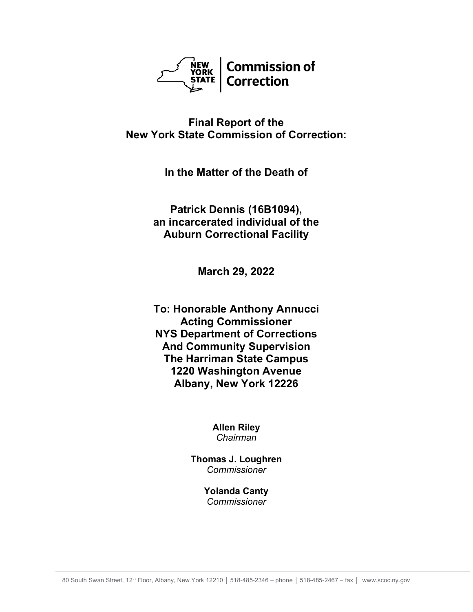

# **Final Report of the New York State Commission of Correction:**

**In the Matter of the Death of**

**Patrick Dennis (16B1094), an incarcerated individual of the Auburn Correctional Facility**

**March 29, 2022**

**To: Honorable Anthony Annucci Acting Commissioner NYS Department of Corrections And Community Supervision The Harriman State Campus 1220 Washington Avenue Albany, New York 12226**

> **Allen Riley** *Chairman*

**Thomas J. Loughren** *Commissioner*

> **Yolanda Canty** *Commissioner*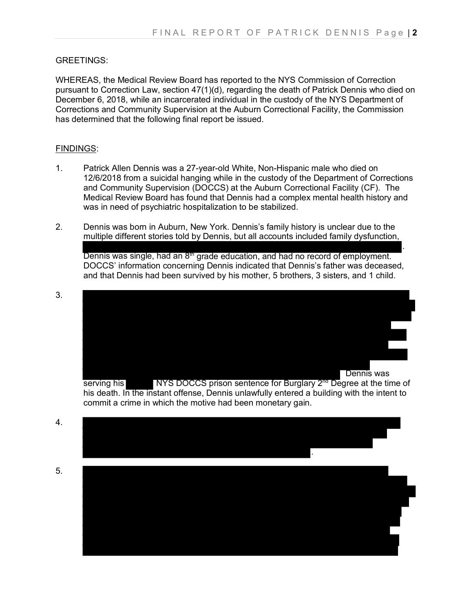### GREETINGS:

WHEREAS, the Medical Review Board has reported to the NYS Commission of Correction pursuant to Correction Law, section 47(1)(d), regarding the death of Patrick Dennis who died on December 6, 2018, while an incarcerated individual in the custody of the NYS Department of Corrections and Community Supervision at the Auburn Correctional Facility, the Commission has determined that the following final report be issued.

### FINDINGS:

- 1. Patrick Allen Dennis was a 27-year-old White, Non-Hispanic male who died on 12/6/2018 from a suicidal hanging while in the custody of the Department of Corrections and Community Supervision (DOCCS) at the Auburn Correctional Facility (CF). The Medical Review Board has found that Dennis had a complex mental health history and was in need of psychiatric hospitalization to be stabilized.
- 2. Dennis was born in Auburn, New York. Dennis's family history is unclear due to the multiple different stories told by Dennis, but all accounts included family dysfunction, . Dennis was single, had an  $8<sup>m</sup>$  grade education, and had no record of employment. DOCCS' information concerning Dennis indicated that Dennis's father was deceased, and that Dennis had been survived by his mother, 5 brothers, 3 sisters, and 1 child.

3. Dennis was

serving his NYS DOCCS prison sentence for Burglary 2<sup>nd</sup> Degree at the time of his death. In the instant offense, Dennis unlawfully entered a building with the intent to commit a crime in which the motive had been monetary gain.

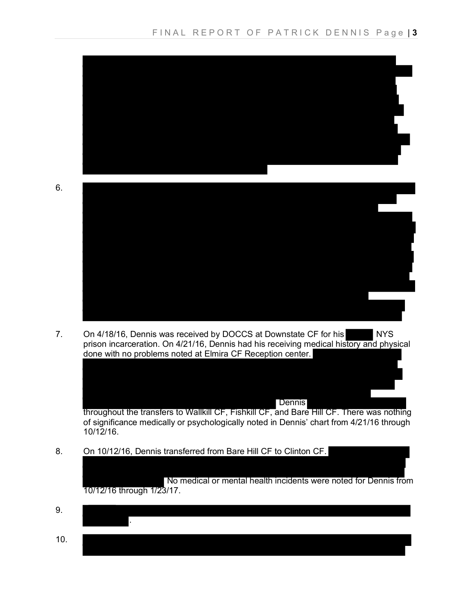

7. On 4/18/16, Dennis was received by DOCCS at Downstate CF for his NYS prison incarceration. On 4/21/16, Dennis had his receiving medical history and physical done with no problems noted at Elmira CF Reception center.

Dennis

throughout the transfers to Wallkill CF, Fishkill CF, and Bare Hill CF. There was nothing of significance medically or psychologically noted in Dennis' chart from 4/21/16 through 10/12/16.

8. On 10/12/16, Dennis transferred from Bare Hill CF to Clinton CF.

No medical or mental health incidents were noted for Dennis from 10/12/16 through 1/23/17.

9. . 10.

6.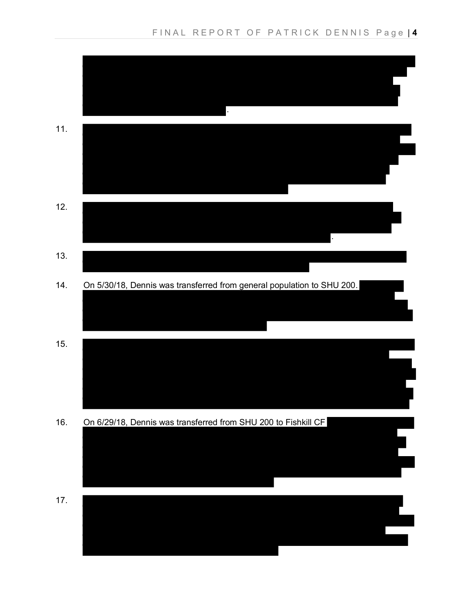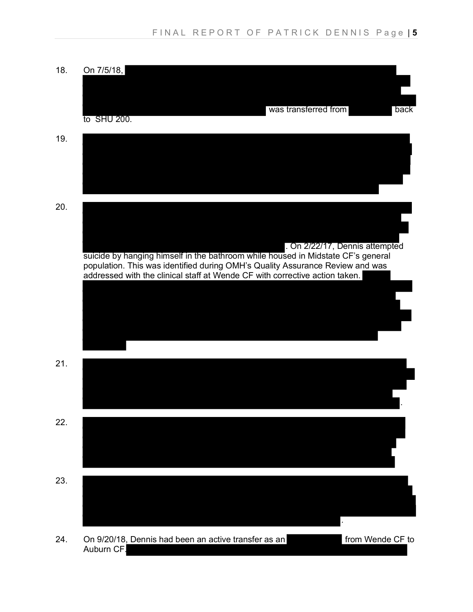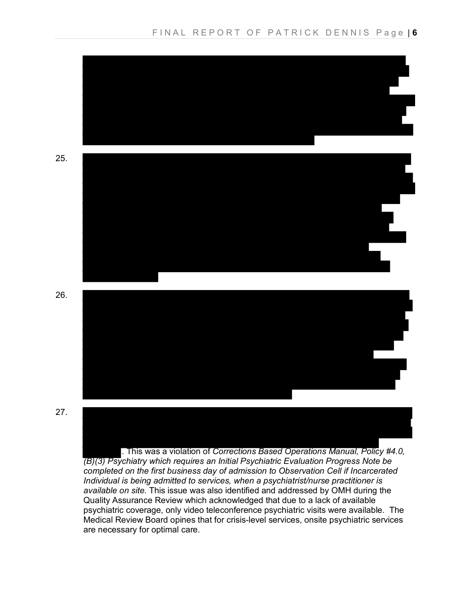

*completed on the first business day of admission to Observation Cell if Incarcerated Individual is being admitted to services, when a psychiatrist/nurse practitioner is available on site.* This issue was also identified and addressed by OMH during the Quality Assurance Review which acknowledged that due to a lack of available psychiatric coverage, only video teleconference psychiatric visits were available. The Medical Review Board opines that for crisis-level services, onsite psychiatric services are necessary for optimal care.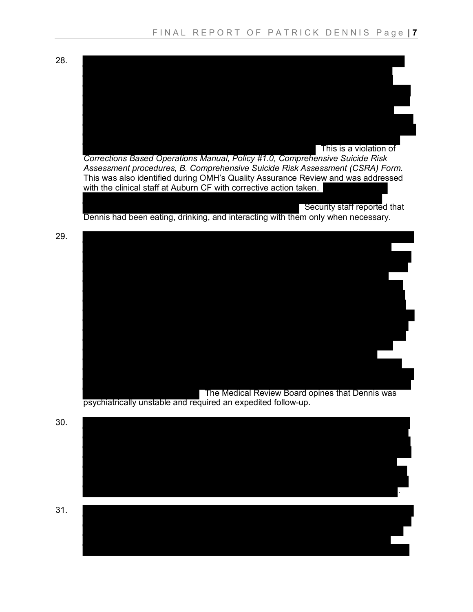28.



*Corrections Based Operations Manual, Policy #1.0, Comprehensive Suicide Risk Assessment procedures, B. Comprehensive Suicide Risk Assessment (CSRA) Form.* This was also identified during OMH's Quality Assurance Review and was addressed with the clinical staff at Auburn CF with corrective action taken.

 Security staff reported that Dennis had been eating, drinking, and interacting with them only when necessary.

29.



psychiatrically unstable and required an expedited follow-up.

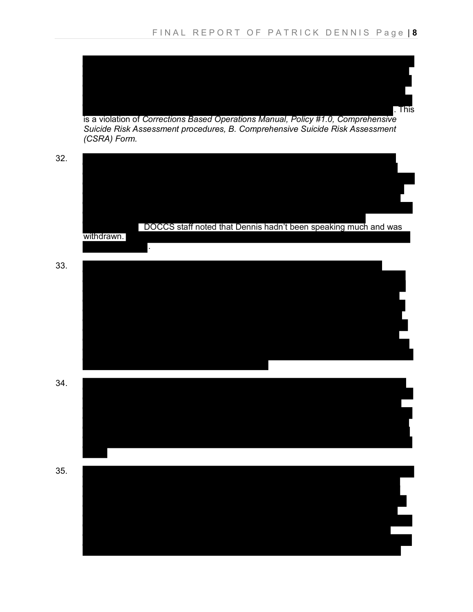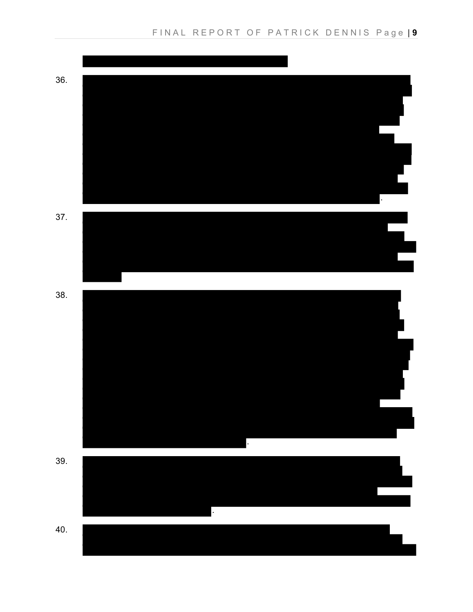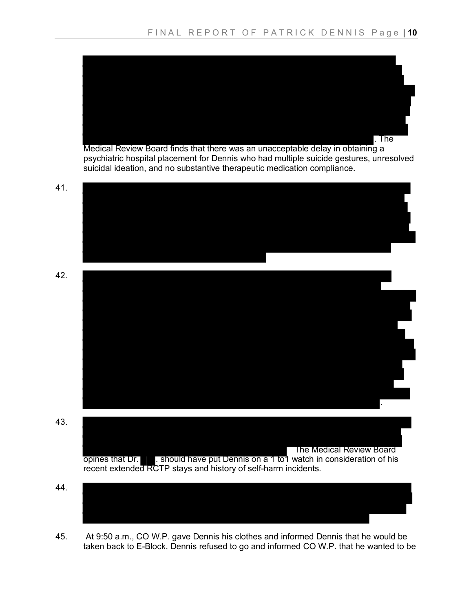

45. At 9:50 a.m., CO W.P. gave Dennis his clothes and informed Dennis that he would be taken back to E-Block. Dennis refused to go and informed CO W.P. that he wanted to be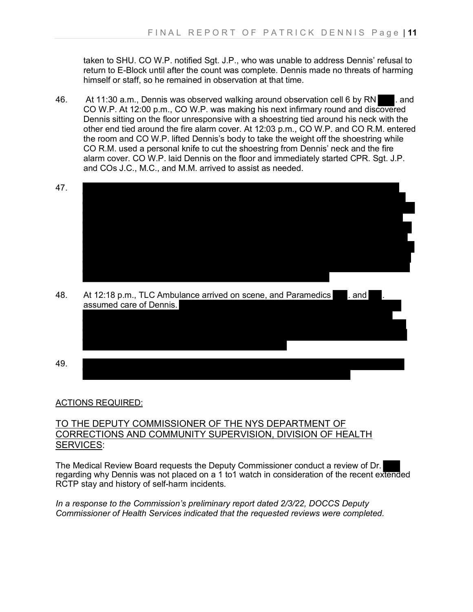taken to SHU. CO W.P. notified Sgt. J.P., who was unable to address Dennis' refusal to return to E-Block until after the count was complete. Dennis made no threats of harming himself or staff, so he remained in observation at that time.

- 46. At 11:30 a.m., Dennis was observed walking around observation cell 6 by RN . and CO W.P. At 12:00 p.m., CO W.P. was making his next infirmary round and discovered Dennis sitting on the floor unresponsive with a shoestring tied around his neck with the other end tied around the fire alarm cover. At 12:03 p.m., CO W.P. and CO R.M. entered the room and CO W.P. lifted Dennis's body to take the weight off the shoestring while CO R.M. used a personal knife to cut the shoestring from Dennis' neck and the fire alarm cover. CO W.P. laid Dennis on the floor and immediately started CPR. Sat. J.P. and COs J.C., M.C., and M.M. arrived to assist as needed.
- 47.
- 48. At 12:18 p.m., TLC Ambulance arrived on scene, and Paramedics and assumed care of Dennis.
- 49.

### ACTIONS REQUIRED:

## TO THE DEPUTY COMMISSIONER OF THE NYS DEPARTMENT OF CORRECTIONS AND COMMUNITY SUPERVISION, DIVISION OF HEALTH SERVICES:

The Medical Review Board requests the Deputy Commissioner conduct a review of Dr. regarding why Dennis was not placed on a 1 to1 watch in consideration of the recent extended RCTP stay and history of self-harm incidents.

*In a response to the Commission's preliminary report dated 2/3/22, DOCCS Deputy Commissioner of Health Services indicated that the requested reviews were completed.*